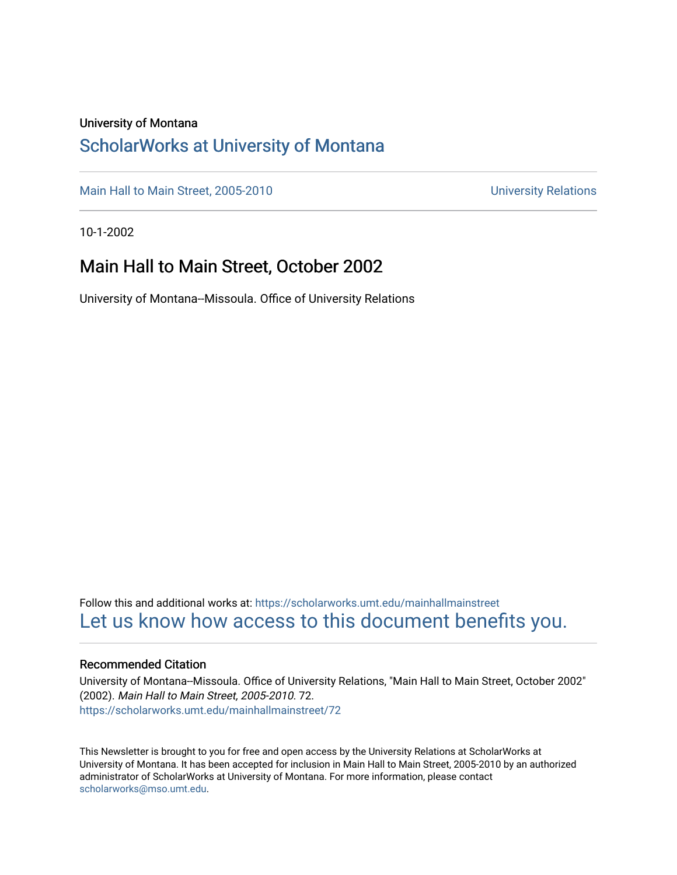#### University of Montana

## [ScholarWorks at University of Montana](https://scholarworks.umt.edu/)

[Main Hall to Main Street, 2005-2010](https://scholarworks.umt.edu/mainhallmainstreet) Main Hall to Main Street, 2005-2010

10-1-2002

### Main Hall to Main Street, October 2002

University of Montana--Missoula. Office of University Relations

Follow this and additional works at: [https://scholarworks.umt.edu/mainhallmainstreet](https://scholarworks.umt.edu/mainhallmainstreet?utm_source=scholarworks.umt.edu%2Fmainhallmainstreet%2F72&utm_medium=PDF&utm_campaign=PDFCoverPages) [Let us know how access to this document benefits you.](https://goo.gl/forms/s2rGfXOLzz71qgsB2) 

#### Recommended Citation

University of Montana--Missoula. Office of University Relations, "Main Hall to Main Street, October 2002" (2002). Main Hall to Main Street, 2005-2010. 72. [https://scholarworks.umt.edu/mainhallmainstreet/72](https://scholarworks.umt.edu/mainhallmainstreet/72?utm_source=scholarworks.umt.edu%2Fmainhallmainstreet%2F72&utm_medium=PDF&utm_campaign=PDFCoverPages) 

This Newsletter is brought to you for free and open access by the University Relations at ScholarWorks at University of Montana. It has been accepted for inclusion in Main Hall to Main Street, 2005-2010 by an authorized administrator of ScholarWorks at University of Montana. For more information, please contact [scholarworks@mso.umt.edu.](mailto:scholarworks@mso.umt.edu)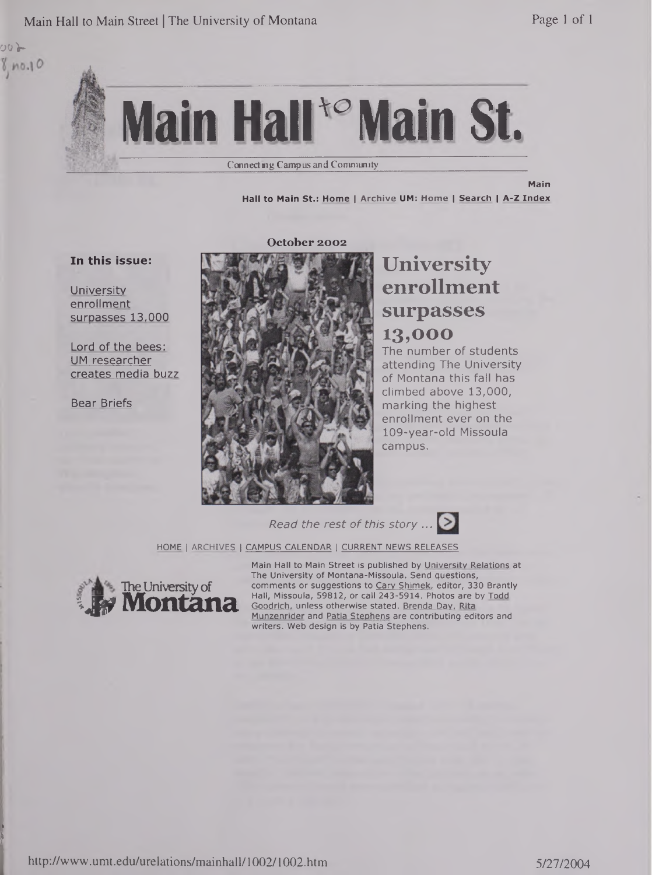Main Hall to Main Street | The University of Montana Page 1 of 1



Connecting Campus and Community

**Main**

**Hall to Main St.: Home <sup>|</sup> Archive UM: Home <sup>|</sup> Search <sup>|</sup> A-Z Index**

#### **In this issue:**

**<sup>00</sup>y**

 $8, no.10$ 

**I** is. **University** enrollment surpasses 13,000

Lord of the bees: UM researcher creates media buzz

Bear Briefs

#### **October 2002**



# **University enrollment surpasses 13,000**

The number of students attending The University of Montana this fall has climbed above 13,000, marking the highest enrollment ever on the 109-year-old Missoula campus.

*Read the rest of this story ...*

HOME <sup>|</sup> ARCHIVES <sup>|</sup> CAMPUS CALENDAR <sup>|</sup> CURRENT NEWS RELEASES



Main Hall to Main Street is published by University Relations at The University of Montana-Missoula. Send questions, comments or suggestions to Cary Shimek, editor, 330 Brantly Hall, Missoula, 59812, or call 243-5914. Photos are by Todd Goodrich, unless otherwise stated. Brenda Day, Rita Munzenrider and Patia Stephens are contributing editors and writers. Web design is by Patia Stephens.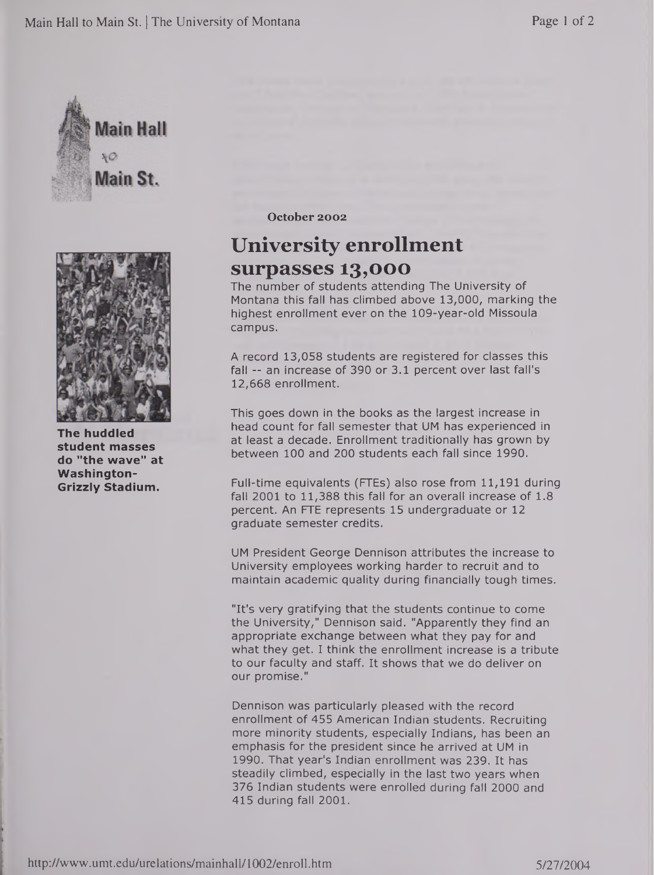



**The huddled student masses do "the wave" at Washington-Grizzly Stadium.**

**October 2002**

## **University enrollment surpasses 13,000**

The number of students attending The University of Montana this fall has climbed above 13,000, marking the highest enrollment ever on the 109-year-old Missoula campus.

A record 13,058 students are registered for classes this fall -- an increase of 390 or 3.1 percent over last fall's 12,668 enrollment.

This goes down in the books as the largest increase in head count for fall semester that UM has experienced in at least a decade. Enrollment traditionally has grown by between 100 and 200 students each fall since 1990.

Full-time equivalents (FTEs) also rose from 11,191 during fall 2001 to 11,388 this fall for an overall increase of 1.8 percent. An FTE represents 15 undergraduate or 12 graduate semester credits.

UM President George Dennison attributes the increase to University employees working harder to recruit and to maintain academic quality during financially tough times.

"It's very gratifying that the students continue to come the University," Dennison said. "Apparently they find an appropriate exchange between what they pay for and what they get. I think the enrollment increase is a tribute to our faculty and staff. It shows that we do deliver on our promise."

Dennison was particularly pleased with the record enrollment of 455 American Indian students. Recruiting more minority students, especially Indians, has been an emphasis for the president since he arrived at UM in 1990. That year's Indian enrollment was 239. It has steadily climbed, especially in the last two years when 376 Indian students were enrolled during fall 2000 and 415 during fall 2001.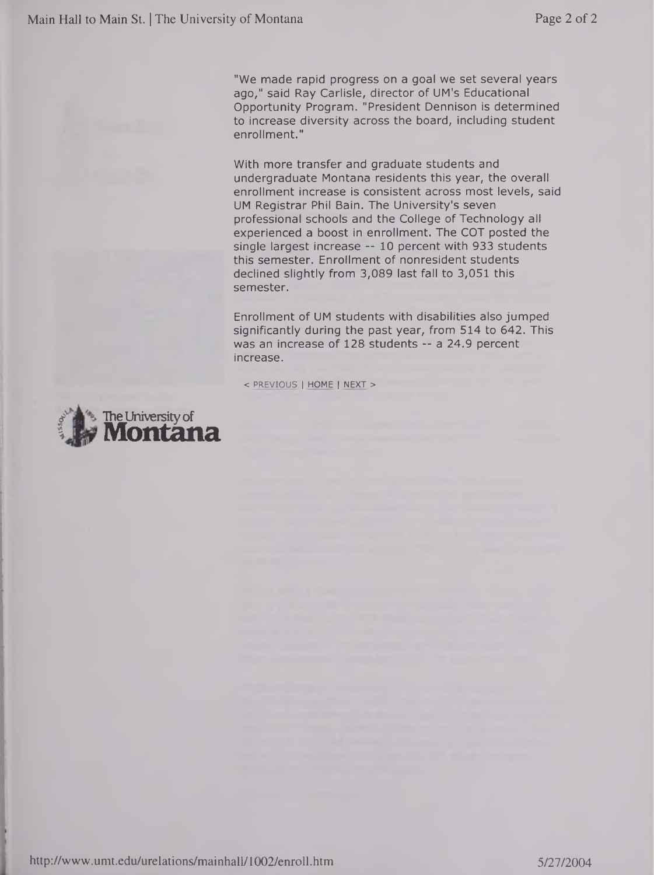"We made rapid progress on a goal we set several years ago," said Ray Carlisle, director of UM's Educational Opportunity Program. "President Dennison is determined to increase diversity across the board, including student enrollment."

With more transfer and graduate students and undergraduate Montana residents this year, the overall enrollment increase is consistent across most levels, said UM Registrar Phil Bain. The University's seven professional schools and the College of Technology all experienced a boost in enrollment. The COT posted the single largest increase -- 10 percent with 933 students this semester. Enrollment of nonresident students declined slightly from 3,089 last fall to 3,051 this semester.

Enrollment of UM students with disabilities also jumped significantly during the past year, from 514 to 642. This was an increase of 128 students -- a 24.9 percent increase.

< PREVIOUS <sup>|</sup> HOME <sup>|</sup> NEXT <sup>&</sup>gt;

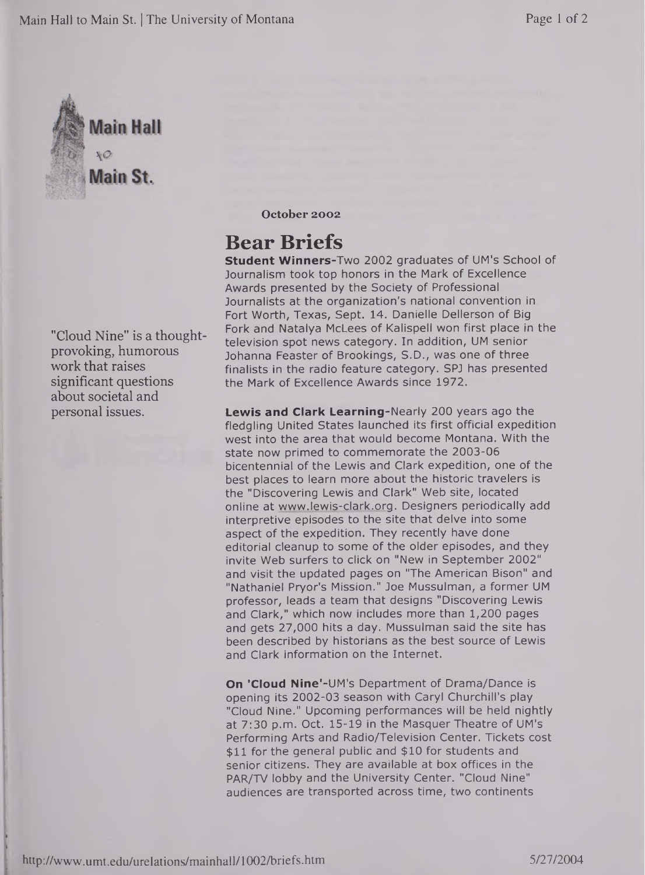

"Cloud Nine" is a thoughtprovoking, humorous work that raises significant questions about societal and personal issues.

**October 2002**

# **Bear Briefs**

**Student Winners-Two** 2002 graduates of UM's School of Journalism took top honors in the Mark of Excellence Awards presented by the Society of Professional Journalists at the organization's national convention in Fort Worth, Texas, Sept. 14. Danielle Dellerson of Big Fork and Natalya McLees of Kalispell won first place in the television spot news category. In addition, UM senior Johanna Feaster of Brookings, S.D., was one of three finalists in the radio feature category. SPJ has presented the Mark of Excellence Awards since 1972.

**Lewis and Clark Learning-Nearly** 200 years ago the fledgling United States launched its first official expedition west into the area that would become Montana. With the state now primed to commemorate the 2003-06 bicentennial of the Lewis and Clark expedition, one of the best places to learn more about the historic travelers is the "Discovering Lewis and Clark" Web site, located online at [www.lewis-clark.org](http://www.lewis-clark.org). Designers periodically add interpretive episodes to the site that delve into some aspect of the expedition. They recently have done editorial cleanup to some of the older episodes, and they invite Web surfers to click on "New in September 2002" and visit the updated pages on "The American Bison" and "Nathaniel Pryor's Mission." Joe Mussulman, a former UM professor, leads a team that designs "Discovering Lewis and Clark," which now includes more than 1,200 pages and gets 27,000 hits a day. Mussulman said the site has been described by historians as the best source of Lewis and Clark information on the Internet.

**On 'Cloud Nine'-UM's** Department of Drama/Dance is opening its 2002-03 season with Caryl Churchill's play "Cloud Nine." Upcoming performances will be held nightly at 7:30 p.m. Oct. 15-19 in the Masquer Theatre of UM's Performing Arts and Radio/Television Center. Tickets cost \$11 for the general public and \$10 for students and senior citizens. They are available at box offices in the PAR/TV lobby and the University Center. "Cloud Nine" audiences are transported across time, two continents